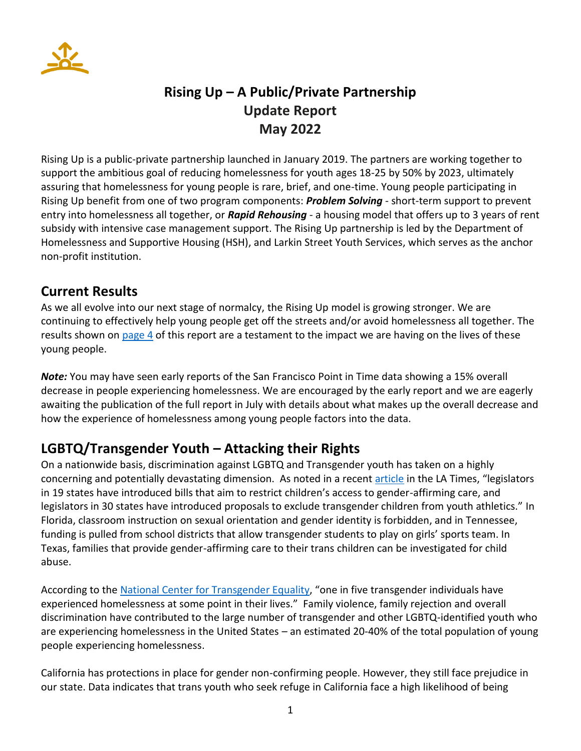

# **Rising Up – A Public/Private Partnership Update Report May 2022**

Rising Up is a public-private partnership launched in January 2019. The partners are working together to support the ambitious goal of reducing homelessness for youth ages 18-25 by 50% by 2023, ultimately assuring that homelessness for young people is rare, brief, and one-time. Young people participating in Rising Up benefit from one of two program components: *Problem Solving* - short-term support to prevent entry into homelessness all together, or *Rapid Rehousing* - a housing model that offers up to 3 years of rent subsidy with intensive case management support. The Rising Up partnership is led by the Department of Homelessness and Supportive Housing (HSH), and Larkin Street Youth Services, which serves as the anchor non-profit institution.

#### **Current Results**

As we all evolve into our next stage of normalcy, the Rising Up model is growing stronger. We are continuing to effectively help young people get off the streets and/or avoid homelessness all together. The results shown on [page](#page-3-0) 4 of this report are a testament to the impact we are having on the lives of these young people.

*Note:* You may have seen early reports of the San Francisco Point in Time data showing a 15% overall decrease in people experiencing homelessness. We are encouraged by the early report and we are eagerly awaiting the publication of the full report in July with details about what makes up the overall decrease and how the experience of homelessness among young people factors into the data.

## **LGBTQ/Transgender Youth – Attacking their Rights**

On a nationwide basis, discrimination against LGBTQ and Transgender youth has taken on a highly concerning and potentially devastating dimension. As noted in a recent [article](https://www.latimes.com/california/story/2022-04-26/anti-lgbtq-legislation-texas-florida-troubles-queer-trans-la-residents) in the LA Times, "legislators in 19 states have introduced bills that aim to restrict children's access to gender-affirming care, and legislators in 30 states have introduced proposals to exclude transgender children from youth athletics." In Florida, classroom instruction on sexual orientation and gender identity is forbidden, and in Tennessee, funding is pulled from school districts that allow transgender students to play on girls' sports team. In Texas, families that provide gender-affirming care to their trans children can be investigated for child abuse.

According to the [National Center for Transgender Equality](https://transequality.org/issues/housing-homelessness), "one in five transgender individuals have experienced homelessness at some point in their lives." Family violence, family rejection and overall discrimination have contributed to the large number of transgender and other LGBTQ-identified youth who are experiencing homelessness in the United States – an estimated 20-40% of the total population of young people experiencing homelessness.

California has protections in place for gender non-confirming people. However, they still face prejudice in our state. Data indicates that trans youth who seek refuge in California face a high likelihood of being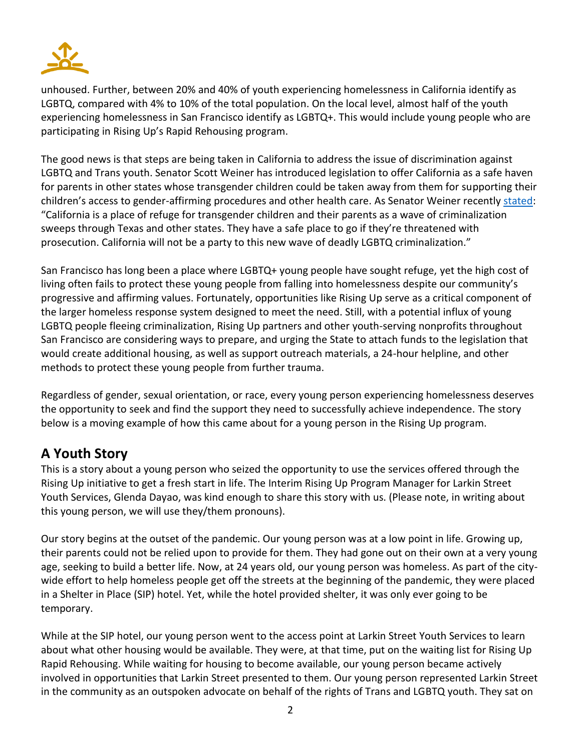

unhoused. Further, between 20% and 40% of youth experiencing homelessness in California identify as LGBTQ, compared with 4% to 10% of the total population. On the local level, almost half of the youth experiencing homelessness in San Francisco identify as LGBTQ+. This would include young people who are participating in Rising Up's Rapid Rehousing program.

The good news is that steps are being taken in California to address the issue of discrimination against LGBTQ and Trans youth. Senator Scott Weiner has introduced legislation to offer California as a safe haven for parents in other states whose transgender children could be taken away from them for supporting their children's access to gender-affirming procedures and other health care. As Senator Weiner recentl[y stated:](https://www.cbsnews.com/sanfrancisco/news/california-transgender-youth-refuge-proposal-state-sen-scott-wiener/) "California is a place of refuge for transgender children and their parents as a wave of criminalization sweeps through Texas and other states. They have a safe place to go if they're threatened with prosecution. California will not be a party to this new wave of deadly LGBTQ criminalization."

San Francisco has long been a place where LGBTQ+ young people have sought refuge, yet the high cost of living often fails to protect these young people from falling into homelessness despite our community's progressive and affirming values. Fortunately, opportunities like Rising Up serve as a critical component of the larger homeless response system designed to meet the need. Still, with a potential influx of young LGBTQ people fleeing criminalization, Rising Up partners and other youth-serving nonprofits throughout San Francisco are considering ways to prepare, and urging the State to attach funds to the legislation that would create additional housing, as well as support outreach materials, a 24-hour helpline, and other methods to protect these young people from further trauma.

Regardless of gender, sexual orientation, or race, every young person experiencing homelessness deserves the opportunity to seek and find the support they need to successfully achieve independence. The story below is a moving example of how this came about for a young person in the Rising Up program.

## **A Youth Story**

This is a story about a young person who seized the opportunity to use the services offered through the Rising Up initiative to get a fresh start in life. The Interim Rising Up Program Manager for Larkin Street Youth Services, Glenda Dayao, was kind enough to share this story with us. (Please note, in writing about this young person, we will use they/them pronouns).

Our story begins at the outset of the pandemic. Our young person was at a low point in life. Growing up, their parents could not be relied upon to provide for them. They had gone out on their own at a very young age, seeking to build a better life. Now, at 24 years old, our young person was homeless. As part of the citywide effort to help homeless people get off the streets at the beginning of the pandemic, they were placed in a Shelter in Place (SIP) hotel. Yet, while the hotel provided shelter, it was only ever going to be temporary.

While at the SIP hotel, our young person went to the access point at Larkin Street Youth Services to learn about what other housing would be available. They were, at that time, put on the waiting list for Rising Up Rapid Rehousing. While waiting for housing to become available, our young person became actively involved in opportunities that Larkin Street presented to them. Our young person represented Larkin Street in the community as an outspoken advocate on behalf of the rights of Trans and LGBTQ youth. They sat on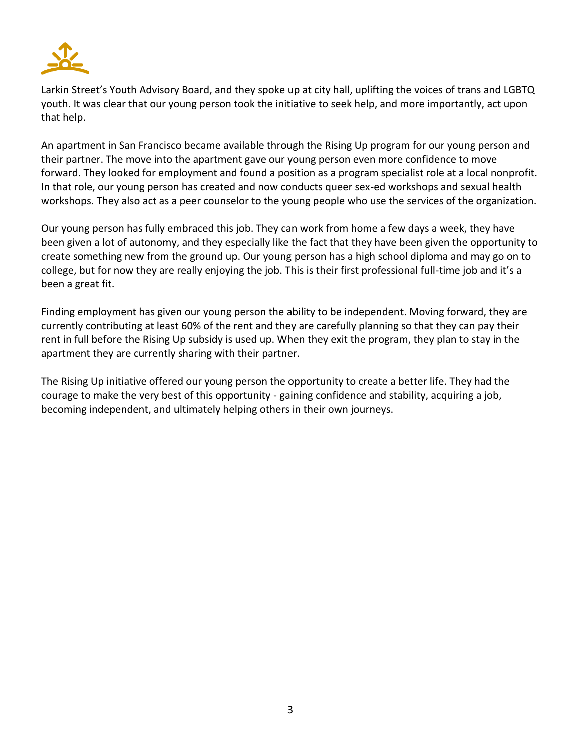

Larkin Street's Youth Advisory Board, and they spoke up at city hall, uplifting the voices of trans and LGBTQ youth. It was clear that our young person took the initiative to seek help, and more importantly, act upon that help.

An apartment in San Francisco became available through the Rising Up program for our young person and their partner. The move into the apartment gave our young person even more confidence to move forward. They looked for employment and found a position as a program specialist role at a local nonprofit. In that role, our young person has created and now conducts queer sex-ed workshops and sexual health workshops. They also act as a peer counselor to the young people who use the services of the organization.

Our young person has fully embraced this job. They can work from home a few days a week, they have been given a lot of autonomy, and they especially like the fact that they have been given the opportunity to create something new from the ground up. Our young person has a high school diploma and may go on to college, but for now they are really enjoying the job. This is their first professional full-time job and it's a been a great fit.

Finding employment has given our young person the ability to be independent. Moving forward, they are currently contributing at least 60% of the rent and they are carefully planning so that they can pay their rent in full before the Rising Up subsidy is used up. When they exit the program, they plan to stay in the apartment they are currently sharing with their partner.

The Rising Up initiative offered our young person the opportunity to create a better life. They had the courage to make the very best of this opportunity - gaining confidence and stability, acquiring a job, becoming independent, and ultimately helping others in their own journeys.